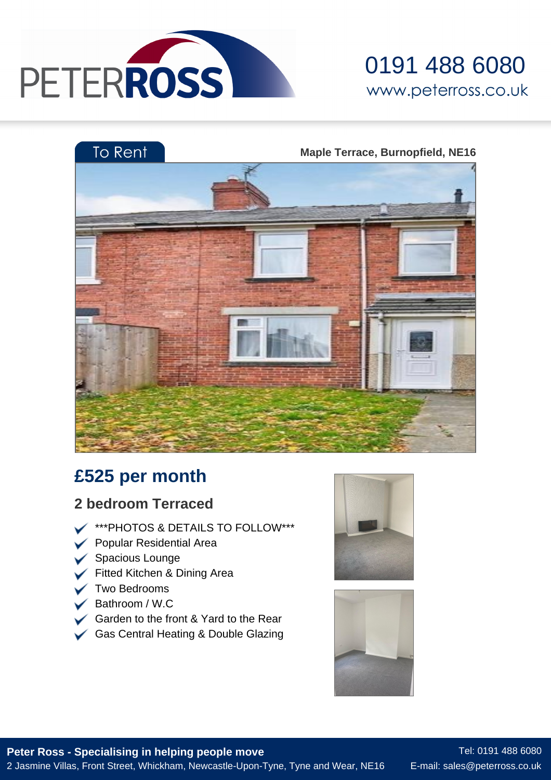

## 0191 488 6080 www.peterross.co.uk



### **£525 per month**

#### **2 bedroom Terraced**

- **WARE AT A THAT AS A DETAILS TO FOLLOW\*\*\***
- Popular Residential Area
- Spacious Lounge
- Fitted Kitchen & Dining Area
- **V** Two Bedrooms
- Bathroom / W.C
- Garden to the front & Yard to the Rear
- Gas Central Heating & Double Glazing





**Peter Ross - Specialising in helping people move** 2 Jasmine Villas, Front Street, Whickham, Newcastle-Upon-Tyne, Tyne and Wear, NE16

Tel: 0191 488 6080 E-mail: sales@peterross.co.uk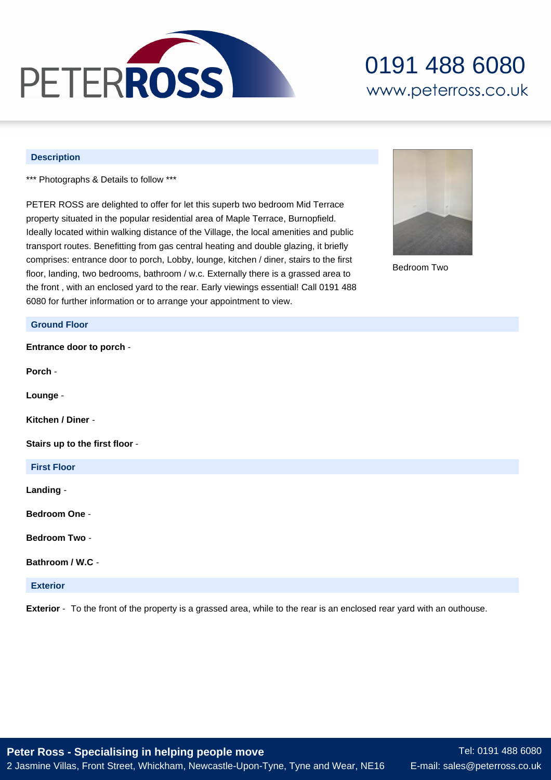

## 0191 488 6080 www.peterross.co.uk

#### **Description**

**Ground Floor**

\*\*\* Photographs & Details to follow \*\*\*

PETER ROSS are delighted to offer for let this superb two bedroom Mid Terrace property situated in the popular residential area of Maple Terrace, Burnopfield. Ideally located within walking distance of the Village, the local amenities and public transport routes. Benefitting from gas central heating and double glazing, it briefly comprises: entrance door to porch, Lobby, lounge, kitchen / diner, stairs to the first floor, landing, two bedrooms, bathroom / w.c. Externally there is a grassed area to the front , with an enclosed yard to the rear. Early viewings essential! Call 0191 488 6080 for further information or to arrange your appointment to view.



Bedroom Two

# **Entrance door to porch** - **Porch** - **Lounge** - **Kitchen / Diner** - **Stairs up to the first floor** - **First Floor Landing** - **Bedroom One** - **Bedroom Two** - **Bathroom / W.C** - **Exterior Exterior** - To the front of the property is a grassed area, while to the rear is an enclosed rear yard with an outhouse.